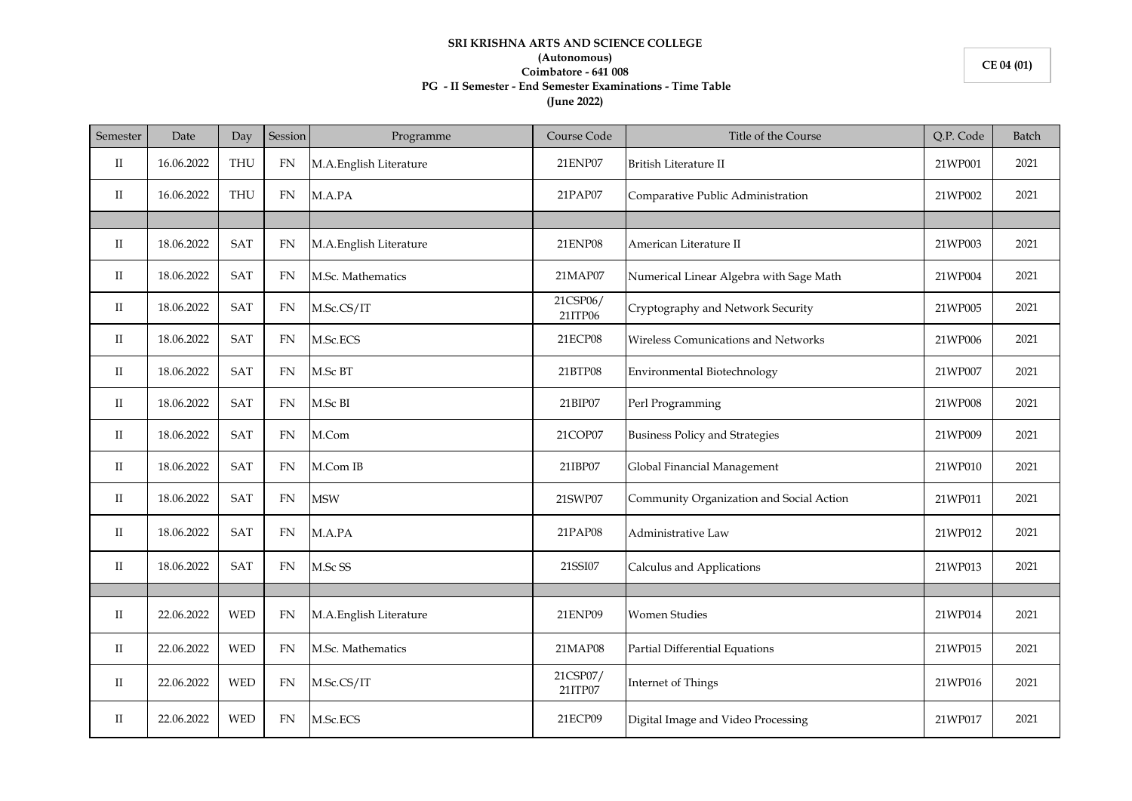## **SRI KRISHNA ARTS AND SCIENCE COLLEGE (Autonomous) Coimbatore - 641 008 PG - II Semester - End Semester Examinations - Time Table (June 2022)**

| Semester    | Date       | Day        | Session    | Programme              | Course Code         | Title of the Course                      | Q.P. Code | Batch |
|-------------|------------|------------|------------|------------------------|---------------------|------------------------------------------|-----------|-------|
| П           | 16.06.2022 | <b>THU</b> | FN         | M.A.English Literature | 21ENP07             | British Literature II                    | 21WP001   | 2021  |
| П           | 16.06.2022 | <b>THU</b> | FN         | M.A.PA                 | 21PAP07             | Comparative Public Administration        | 21WP002   | 2021  |
|             |            |            |            |                        |                     |                                          |           |       |
| П           | 18.06.2022 | <b>SAT</b> | <b>FN</b>  | M.A.English Literature | <b>21ENP08</b>      | American Literature II                   | 21WP003   | 2021  |
| П           | 18.06.2022 | <b>SAT</b> | <b>FN</b>  | M.Sc. Mathematics      | 21MAP07             | Numerical Linear Algebra with Sage Math  | 21WP004   | 2021  |
| $_{\rm II}$ | 18.06.2022 | SAT        | FN         | M.Sc.CS/IT             | 21CSP06/<br>21ITP06 | Cryptography and Network Security        | 21WP005   | 2021  |
| $_{\rm II}$ | 18.06.2022 | <b>SAT</b> | FN         | M.Sc.ECS               | 21ECP08             | Wireless Comunications and Networks      | 21WP006   | 2021  |
| П           | 18.06.2022 | <b>SAT</b> | <b>FN</b>  | M.Sc BT                | 21BTP08             | Environmental Biotechnology              | 21WP007   | 2021  |
| $_{\rm II}$ | 18.06.2022 | SAT        | <b>FN</b>  | M.Sc BI                | 21BIP07             | Perl Programming                         | 21WP008   | 2021  |
| П           | 18.06.2022 | <b>SAT</b> | FN         | M.Com                  | 21COP07             | <b>Business Policy and Strategies</b>    | 21WP009   | 2021  |
| П           | 18.06.2022 | <b>SAT</b> | <b>FN</b>  | M.Com IB               | 21IBP07             | Global Financial Management              | 21WP010   | 2021  |
| П           | 18.06.2022 | SAT        | ${\rm FN}$ | <b>MSW</b>             | 21SWP07             | Community Organization and Social Action | 21WP011   | 2021  |
| П           | 18.06.2022 | <b>SAT</b> | <b>FN</b>  | M.A.PA                 | 21PAP08             | Administrative Law                       | 21WP012   | 2021  |
| $_{\rm II}$ | 18.06.2022 | <b>SAT</b> | <b>FN</b>  | M.Sc SS                | 21SSI07             | Calculus and Applications                | 21WP013   | 2021  |
|             |            |            |            |                        |                     |                                          |           |       |
| П           | 22.06.2022 | <b>WED</b> | <b>FN</b>  | M.A.English Literature | 21ENP09             | <b>Women Studies</b>                     | 21WP014   | 2021  |
| П           | 22.06.2022 | <b>WED</b> | <b>FN</b>  | M.Sc. Mathematics      | 21MAP08             | Partial Differential Equations           | 21WP015   | 2021  |
| $_{\rm II}$ | 22.06.2022 | <b>WED</b> | FN         | M.Sc.CS/IT             | 21CSP07/<br>21ITP07 | Internet of Things                       | 21WP016   | 2021  |
| $_{\rm II}$ | 22.06.2022 | <b>WED</b> | FN         | M.Sc.ECS               | 21ECP09             | Digital Image and Video Processing       | 21WP017   | 2021  |

**CE 04 (01)**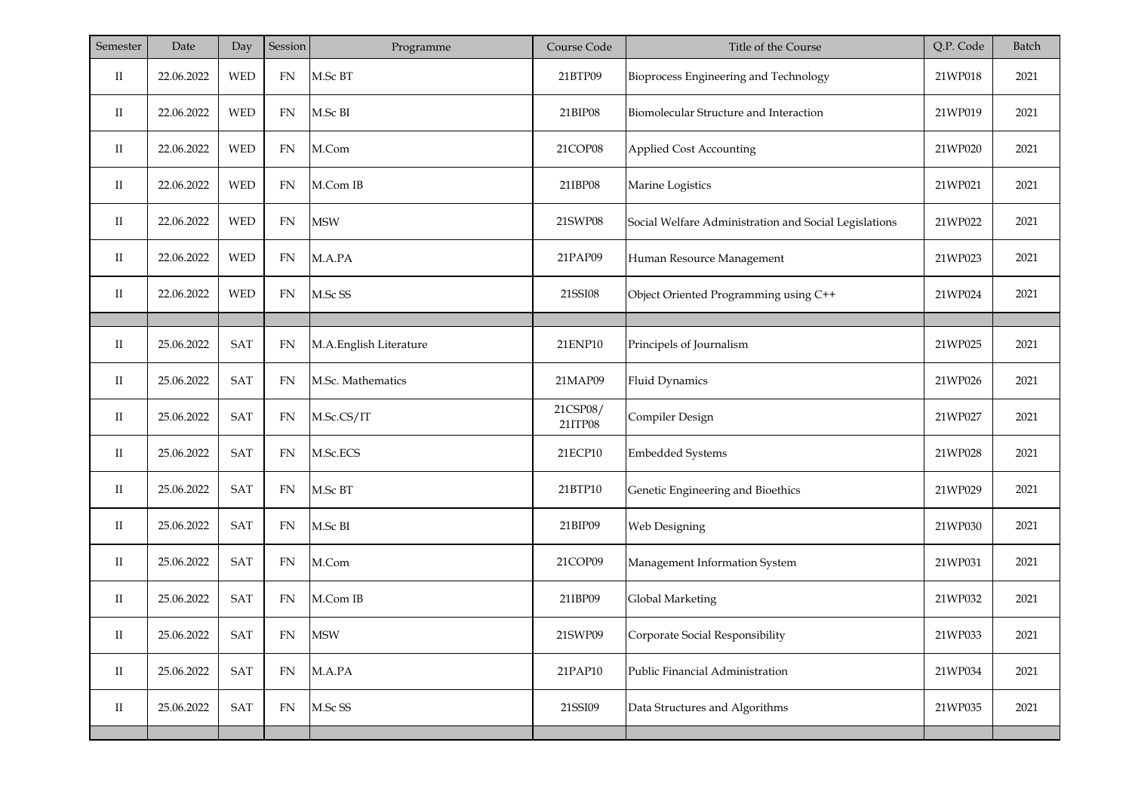| Semester             | Date       | Day        | Session    | Programme              | Course Code         | Title of the Course                                   | Q.P. Code | Batch |
|----------------------|------------|------------|------------|------------------------|---------------------|-------------------------------------------------------|-----------|-------|
| П                    | 22.06.2022 | <b>WED</b> | ${\rm FN}$ | M.Sc BT                | 21BTP09             | Bioprocess Engineering and Technology                 | 21WP018   | 2021  |
| П                    | 22.06.2022 | <b>WED</b> | FN         | M.Sc BI                | 21BIP08             | Biomolecular Structure and Interaction                | 21WP019   | 2021  |
| $_{\rm II}$          | 22.06.2022 | <b>WED</b> | FN         | M.Com                  | 21COP08             | <b>Applied Cost Accounting</b>                        | 21WP020   | 2021  |
| П                    | 22.06.2022 | <b>WED</b> | FN         | M.Com IB               | 21IBP08             | Marine Logistics                                      | 21WP021   | 2021  |
| $_{\rm II}$          | 22.06.2022 | <b>WED</b> | FN         | <b>MSW</b>             | 21SWP08             | Social Welfare Administration and Social Legislations | 21WP022   | 2021  |
| П                    | 22.06.2022 | <b>WED</b> | FN         | M.A.PA                 | 21PAP09             | Human Resource Management                             | 21WP023   | 2021  |
| П                    | 22.06.2022 | <b>WED</b> | FN         | M.Sc SS                | 21SSI08             | Object Oriented Programming using C++                 | 21WP024   | 2021  |
|                      |            |            |            |                        |                     |                                                       |           |       |
| П                    | 25.06.2022 | SAT        | <b>FN</b>  | M.A.English Literature | 21ENP10             | Principels of Journalism                              | 21WP025   | 2021  |
| П                    | 25.06.2022 | SAT        | FN         | M.Sc. Mathematics      | 21MAP09             | <b>Fluid Dynamics</b>                                 | 21WP026   | 2021  |
| П                    | 25.06.2022 | SAT        | FN         | M.Sc.CS/IT             | 21CSP08/<br>21ITP08 | Compiler Design                                       | 21WP027   | 2021  |
| П                    | 25.06.2022 | <b>SAT</b> | FN         | M.Sc.ECS               | 21ECP10             | <b>Embedded Systems</b>                               | 21WP028   | 2021  |
| П                    | 25.06.2022 | SAT        | FN         | M.Sc BT                | 21BTP10             | Genetic Engineering and Bioethics                     | 21WP029   | 2021  |
| П                    | 25.06.2022 | SAT        | FN         | M.Sc BI                | 21BIP09             | Web Designing                                         | 21WP030   | 2021  |
| П                    | 25.06.2022 | SAT        | ${\rm FN}$ | M.Com                  | 21COP09             | Management Information System                         | 21WP031   | 2021  |
| П                    | 25.06.2022 | SAT        | FN         | M.Com IB               | 21IBP09             | Global Marketing                                      | 21WP032   | 2021  |
| П                    | 25.06.2022 | SAT        | ${\rm FN}$ | <b>MSW</b>             | 21SWP09             | Corporate Social Responsibility                       | 21WP033   | 2021  |
| $\rm II$             | 25.06.2022 | SAT        | ${\rm FN}$ | M.A.PA                 | 21PAP10             | Public Financial Administration                       | 21WP034   | 2021  |
| $\scriptstyle\rm II$ | 25.06.2022 | SAT        | FN         | M.Sc SS                | 21SSI09             | Data Structures and Algorithms                        | 21WP035   | 2021  |
|                      |            |            |            |                        |                     |                                                       |           |       |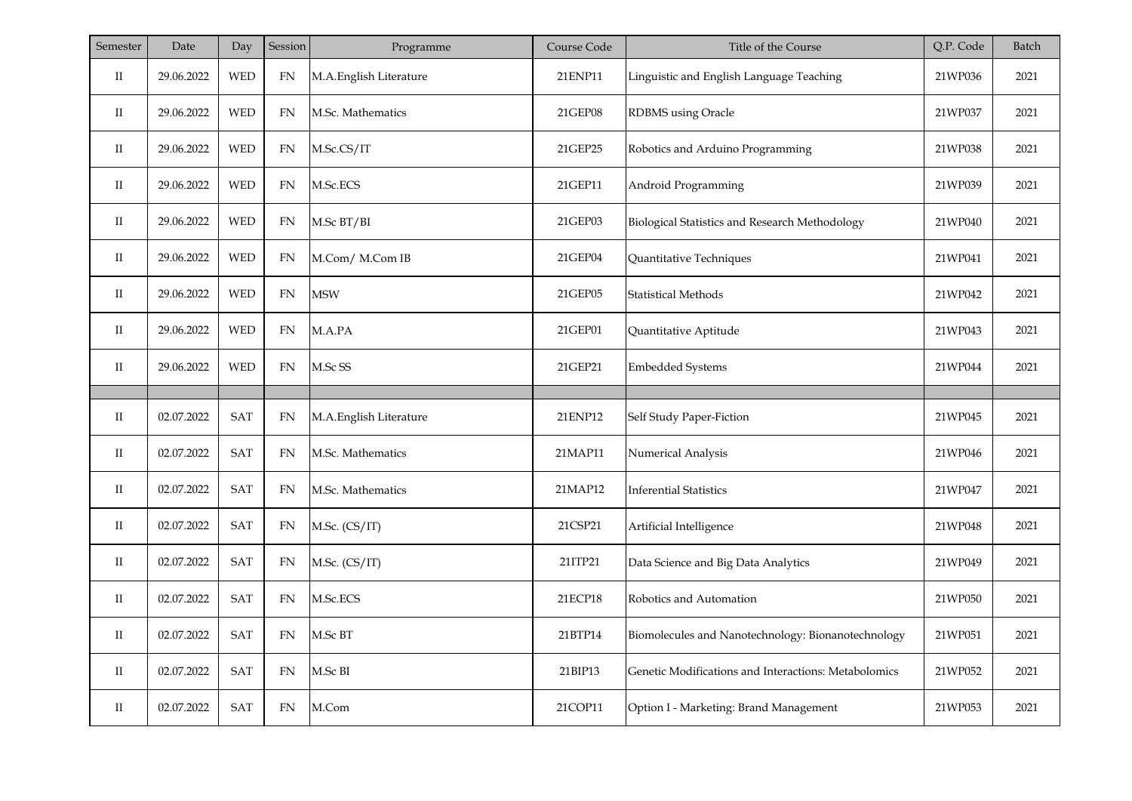| Semester             | Date       | Day                         | Session    | Programme              | Course Code | Title of the Course                                  | Q.P. Code | Batch |
|----------------------|------------|-----------------------------|------------|------------------------|-------------|------------------------------------------------------|-----------|-------|
| $_{\rm II}$          | 29.06.2022 | <b>WED</b>                  | ${\rm FN}$ | M.A.English Literature | 21ENP11     | Linguistic and English Language Teaching             | 21WP036   | 2021  |
| $_{\rm II}$          | 29.06.2022 | <b>WED</b>                  | FN         | M.Sc. Mathematics      | 21GEP08     | RDBMS using Oracle                                   | 21WP037   | 2021  |
| $\scriptstyle\rm II$ | 29.06.2022 | <b>WED</b>                  | FN         | M.Sc.CS/IT             | 21GEP25     | Robotics and Arduino Programming                     | 21WP038   | 2021  |
| $_{\rm II}$          | 29.06.2022 | <b>WED</b>                  | <b>FN</b>  | M.Sc.ECS               | 21GEP11     | Android Programming                                  | 21WP039   | 2021  |
| $\rm{II}$            | 29.06.2022 | <b>WED</b>                  | FN         | M.Sc BT/BI             | 21GEP03     | Biological Statistics and Research Methodology       | 21WP040   | 2021  |
| $\rm{II}$            | 29.06.2022 | <b>WED</b>                  | FN         | M.Com/ M.Com IB        | 21GEP04     | Quantitative Techniques                              | 21WP041   | 2021  |
| $\rm{II}$            | 29.06.2022 | WED                         | ${\rm FN}$ | <b>MSW</b>             | 21GEP05     | <b>Statistical Methods</b>                           | 21WP042   | 2021  |
| $\rm II$             | 29.06.2022 | <b>WED</b>                  | ${\rm FN}$ | M.A.PA                 | 21GEP01     | Quantitative Aptitude                                | 21WP043   | 2021  |
| $\rm II$             | 29.06.2022 | <b>WED</b>                  | FN         | M.Sc SS                | 21GEP21     | <b>Embedded Systems</b>                              | 21WP044   | 2021  |
|                      |            |                             |            |                        |             |                                                      |           |       |
| П                    | 02.07.2022 | SAT                         | FN         | M.A.English Literature | 21ENP12     | Self Study Paper-Fiction                             | 21WP045   | 2021  |
| $_{\rm II}$          | 02.07.2022 | SAT                         | FN         | M.Sc. Mathematics      | 21MAP11     | Numerical Analysis                                   | 21WP046   | 2021  |
| $\rm II$             | 02.07.2022 | SAT                         | <b>FN</b>  | M.Sc. Mathematics      | 21MAP12     | <b>Inferential Statistics</b>                        | 21WP047   | 2021  |
| $\rm{II}$            | 02.07.2022 | SAT                         | FN         | M.Sc. (CS/IT)          | 21CSP21     | Artificial Intelligence                              | 21WP048   | 2021  |
| $\rm{II}$            | 02.07.2022 | SAT                         | <b>FN</b>  | M.Sc. (CS/IT)          | 21ITP21     | Data Science and Big Data Analytics                  | 21WP049   | 2021  |
| $_{\rm II}$          | 02.07.2022 | SAT                         | FN         | M.Sc.ECS               | 21ECP18     | Robotics and Automation                              | 21WP050   | 2021  |
| $\rm II$             | 02.07.2022 | SAT                         | FN         | M.Sc BT                | 21BTP14     | Biomolecules and Nanotechnology: Bionanotechnology   | 21WP051   | 2021  |
| $_{\rm II}$          | 02.07.2022 | $\ensuremath{\mathsf{SAT}}$ | FN         | M.Sc BI                | 21BIP13     | Genetic Modifications and Interactions: Metabolomics | 21WP052   | 2021  |
| $_{\rm II}$          | 02.07.2022 | SAT                         | FN         | M.Com                  | 21COP11     | Option I - Marketing: Brand Management               | 21WP053   | 2021  |